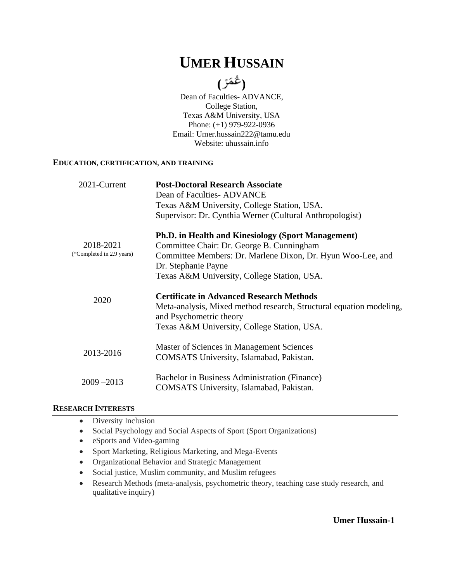# **UMER HUSSAIN**

**( )**

Dean of Faculties- ADVANCE, College Station, Texas A&M University, USA Phone: (+1) 979-922-0936 Email: [Umer.hussain222@tamu.edu](mailto:Umer.hussain222@tamu.edu) Website: uhussain.info

### **EDUCATION, CERTIFICATION, AND TRAINING**

| 2021-Current                           | <b>Post-Doctoral Research Associate</b><br>Dean of Faculties-ADVANCE<br>Texas A&M University, College Station, USA.<br>Supervisor: Dr. Cynthia Werner (Cultural Anthropologist)                                                             |
|----------------------------------------|---------------------------------------------------------------------------------------------------------------------------------------------------------------------------------------------------------------------------------------------|
| 2018-2021<br>(*Completed in 2.9 years) | <b>Ph.D. in Health and Kinesiology (Sport Management)</b><br>Committee Chair: Dr. George B. Cunningham<br>Committee Members: Dr. Marlene Dixon, Dr. Hyun Woo-Lee, and<br>Dr. Stephanie Payne<br>Texas A&M University, College Station, USA. |
| 2020                                   | <b>Certificate in Advanced Research Methods</b><br>Meta-analysis, Mixed method research, Structural equation modeling,<br>and Psychometric theory<br>Texas A&M University, College Station, USA.                                            |
| 2013-2016                              | Master of Sciences in Management Sciences<br>COMSATS University, Islamabad, Pakistan.                                                                                                                                                       |
| $2009 - 2013$                          | Bachelor in Business Administration (Finance)<br>COMSATS University, Islamabad, Pakistan.                                                                                                                                                   |

### **RESEARCH INTERESTS**

- Diversity Inclusion
- Social Psychology and Social Aspects of Sport (Sport Organizations)
- eSports and Video-gaming
- Sport Marketing, Religious Marketing, and Mega-Events
- Organizational Behavior and Strategic Management
- Social justice, Muslim community, and Muslim refugees
- Research Methods (meta-analysis, psychometric theory, teaching case study research, and qualitative inquiry)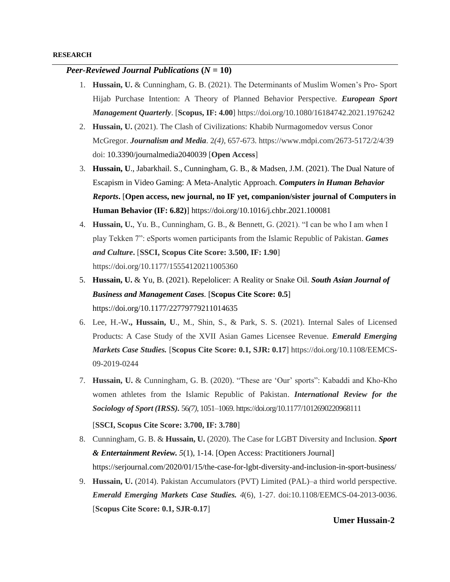### *Peer-Reviewed Journal Publications*  $(N = 10)$

- 1. **Hussain, U.** & Cunningham, G. B. (2021). The Determinants of Muslim Women's Pro- Sport Hijab Purchase Intention: A Theory of Planned Behavior Perspective. *European Sport Management Quarterly*. [**Scopus, IF: 4.00**] https://doi.org/10.1080/16184742.2021.1976242
- 2. **Hussain, U.** (2021). The Clash of Civilizations: Khabib Nurmagomedov versus Conor McGregor. *Journalism and Media*. 2*(4)*, 657-673. https://www.mdpi.com/2673-5172/2/4/39 doi: 10.3390/journalmedia2040039 [**Open Access**]
- 3. **Hussain, U**., Jabarkhail. S., Cunningham, G. B., & Madsen, J.M. (2021). The Dual Nature of Escapism in Video Gaming: A Meta-Analytic Approach. *Computers in Human Behavior Reports***.** [**Open access, new journal, no IF yet, companion/sister journal of Computers in Human Behavior (IF: 6.82)**] https://doi.org/10.1016/j.chbr.2021.100081
- 4. **Hussain, U.**, Yu. B., Cunningham, G. B., & Bennett, G. (2021). "I can be who I am when I play Tekken 7": eSports women participants from the Islamic Republic of Pakistan. *Games and Culture***.** [**SSCI, Scopus Cite Score: 3.500, IF: 1.90**] https://doi.org/10.1177/15554120211005360
- 5. **Hussain, U.** & Yu, B. (2021). Repelolicer: A Reality or Snake Oil. *South Asian Journal of Business and Management Cases.* [**Scopus Cite Score: 0.5**] https://doi.org/10.1177/22779779211014635
- 6. Lee, H.-W**., Hussain, U**., M., Shin, S., & Park, S. S. (2021). Internal Sales of Licensed Products: A Case Study of the XVII Asian Games Licensee Revenue. *Emerald Emerging Markets Case Studies.* [**Scopus Cite Score: 0.1, SJR: 0.17**] https://doi.org/10.1108/EEMCS-09-2019-0244
- 7. **Hussain, U.** & Cunningham, G. B. (2020). "These are 'Our' sports": Kabaddi and Kho-Kho women athletes from the Islamic Republic of Pakistan. *International Review for the Sociology of Sport (IRSS).* 56*(7)*, 1051–1069. https://doi.org/10.1177/1012690220968111

[**SSCI, Scopus Cite Score: 3.700, IF: 3.780**]

- 8. Cunningham, G. B. & **Hussain, U.** (2020). The Case for LGBT Diversity and Inclusion. *Sport & Entertainment Review. 5*(1), 1-14. [Open Access: Practitioners Journal] https://serjournal.com/2020/01/15/the-case-for-lgbt-diversity-and-inclusion-in-sport-business/
- 9. **Hussain, U.** (2014). Pakistan Accumulators (PVT) Limited (PAL)–a third world perspective. *Emerald Emerging Markets Case Studies. 4*(6), 1-27. doi:10.1108/EEMCS-04-2013-0036. [**Scopus Cite Score: 0.1, SJR-0.17**]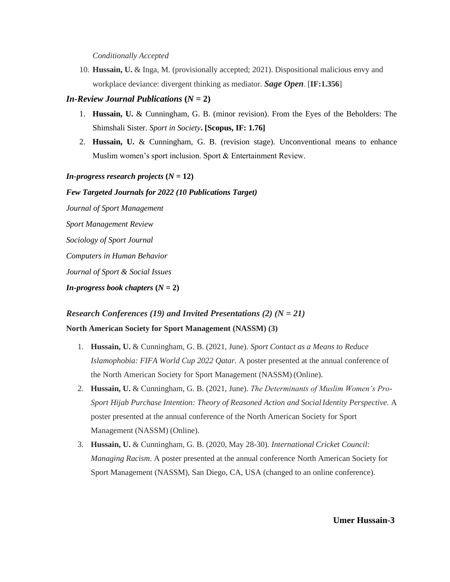#### *Conditionally Accepted*

10. **Hussain, U.** & Inga, M. (provisionally accepted; 2021). Dispositional malicious envy and workplace deviance: divergent thinking as mediator. *Sage Open*. [**IF:1.356**]

### *In-Review Journal Publications*  $(N = 2)$

- 1. **Hussain, U.** & Cunningham, G. B. (minor revision). From the Eyes of the Beholders: The Shimshali Sister. *Sport in Society***. [Scopus, IF: 1.76]**
- 2. **Hussain, U.** & Cunningham, G. B. (revision stage). Unconventional means to enhance Muslim women's sport inclusion. Sport & Entertainment Review.

### *In-progress research projects*  $(N = 12)$

### *Few Targeted Journals for 2022 (10 Publications Target)*

*Journal of Sport Management Sport Management Review Sociology of Sport Journal Computers in Human Behavior Journal of Sport & Social Issues In-progress book chapters*  $(N = 2)$ 

## *Research Conferences (19) and Invited Presentations (2) (N = 21)* **North American Society for Sport Management (NASSM) (3)**

- 1. **Hussain, U.** & Cunningham, G. B. (2021, June). *Sport Contact as a Means to Reduce Islamophobia: FIFA World Cup 2022 Qatar.* A poster presented at the annual conference of the North American Society for Sport Management (NASSM) (Online).
- 2. **Hussain, U.** & Cunningham, G. B. (2021, June). *The Determinants of Muslim Women's Pro-Sport Hijab Purchase Intention: Theory of Reasoned Action and SocialIdentity Perspective.* A poster presented at the annual conference of the North American Society for Sport Management (NASSM) (Online).
- 3. **Hussain, U.** & Cunningham, G. B. (2020, May 28-30). *International Cricket Council: Managing Racism*. A poster presented at the annual conference North American Society for Sport Management (NASSM), San Diego, CA, USA (changed to an online conference).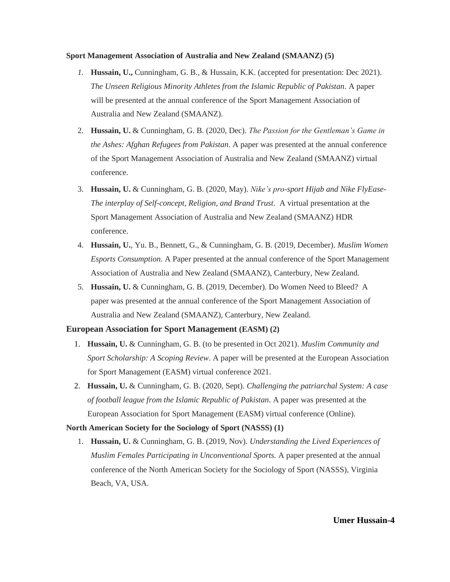#### **Sport Management Association of Australia and New Zealand (SMAANZ) (5)**

- *1.* **Hussain, U.,** Cunningham, G. B., & Hussain, K.K. (accepted for presentation: Dec 2021). *The Unseen Religious Minority Athletes from the Islamic Republic of Pakistan.* A paper will be presented at the annual conference of the Sport Management Association of Australia and New Zealand (SMAANZ).
- 2. **Hussain, U.** & Cunningham, G. B. (2020, Dec). *The Passion for the Gentleman's Game in the Ashes: Afghan Refugees from Pakistan*. A paper was presented at the annual conference of the Sport Management Association of Australia and New Zealand (SMAANZ) virtual conference.
- 3. **Hussain, U.** & Cunningham, G. B. (2020, May). *Nike's pro-sport Hijab and Nike FlyEase-The interplay of Self-concept, Religion, and Brand Trust*. A virtual presentation at the Sport Management Association of Australia and New Zealand (SMAANZ) HDR conference.
- 4. **Hussain, U.**, Yu. B., Bennett, G., & Cunningham, G. B. (2019, December). *Muslim Women Esports Consumption.* A Paper presented at the annual conference of the Sport Management Association of Australia and New Zealand (SMAANZ), Canterbury, New Zealand.
- 5. **Hussain, U.** & Cunningham, G. B. (2019, December). Do Women Need to Bleed? A paper was presented at the annual conference of the Sport Management Association of Australia and New Zealand (SMAANZ), Canterbury, New Zealand.

### **European Association for Sport Management (EASM) (2)**

- 1. **Hussain, U.** & Cunningham, G. B. (to be presented in Oct 2021). *Muslim Community and Sport Scholarship: A Scoping Review*. A paper will be presented at the European Association for Sport Management (EASM) virtual conference 2021.
- 2. **Hussain, U.** & Cunningham, G. B. (2020, Sept). *Challenging the patriarchal System: A case of football league from the Islamic Republic of Pakistan*. A paper was presented at the European Association for Sport Management (EASM) virtual conference (Online).

### **North American Society for the Sociology of Sport (NASSS) (1)**

1. **Hussain, U.** & Cunningham, G. B. (2019, Nov). *Understanding the Lived Experiences of Muslim Females Participating in Unconventional Sports.* A paper presented at the annual conference of the North American Society for the Sociology of Sport (NASSS), Virginia Beach, VA, USA.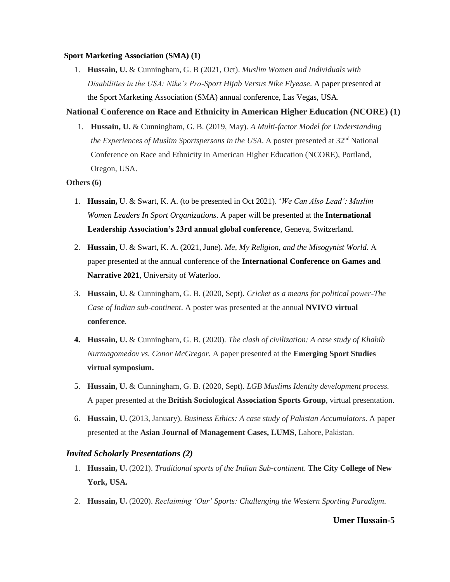### **Sport Marketing Association (SMA) (1)**

1. **Hussain, U.** & Cunningham, G. B (2021, Oct). *Muslim Women and Individuals with Disabilities in the USA: Nike's Pro-Sport Hijab Versus Nike Flyease*. A paper presented at the Sport Marketing Association (SMA) annual conference, Las Vegas, USA.

### **National Conference on Race and Ethnicity in American Higher Education (NCORE) (1)**

1. **Hussain, U.** & Cunningham, G. B. (2019, May). *A Multi-factor Model for Understanding the Experiences of Muslim Sportspersons in the USA*. A poster presented at 32<sup>nd</sup> National Conference on Race and Ethnicity in American Higher Education (NCORE), Portland, Oregon, USA.

### **Others (6)**

- 1. **Hussain,** U. & Swart, K. A. (to be presented in Oct 2021). '*We Can Also Lead': Muslim Women Leaders In Sport Organizations*. A paper will be presented at the **International Leadership Association's 23rd annual global conference**, Geneva, Switzerland.
- 2. **Hussain,** U. & Swart, K. A. (2021, June). *Me, My Religion, and the Misogynist World*. A paper presented at the annual conference of the **International Conference on Games and Narrative 2021**, University of Waterloo.
- 3. **Hussain, U.** & Cunningham, G. B. (2020, Sept). *Cricket as a means for political power-The Case of Indian sub-continent*. A poster was presented at the annual **NVIVO virtual conference**.
- **4. Hussain, U.** & Cunningham, G. B. (2020). *The clash of civilization: A case study of Khabib Nurmagomedov vs. Conor McGregor.* A paper presented at the **Emerging Sport Studies virtual symposium.**
- 5. **Hussain, U.** & Cunningham, G. B. (2020, Sept). *LGB Muslims Identity development process.* A paper presented at the **British Sociological Association Sports Group**, virtual presentation.
- 6. **Hussain, U.** (2013, January). *Business Ethics: A case study of Pakistan Accumulators*. A paper presented at the **Asian Journal of Management Cases, LUMS**, Lahore, Pakistan.

### *Invited Scholarly Presentations (2)*

- 1. **Hussain, U.** (2021). *Traditional sports of the Indian Sub-continent*. **The City College of New York, USA.**
- 2. **Hussain, U.** (2020). *Reclaiming 'Our' Sports: Challenging the Western Sporting Paradigm*.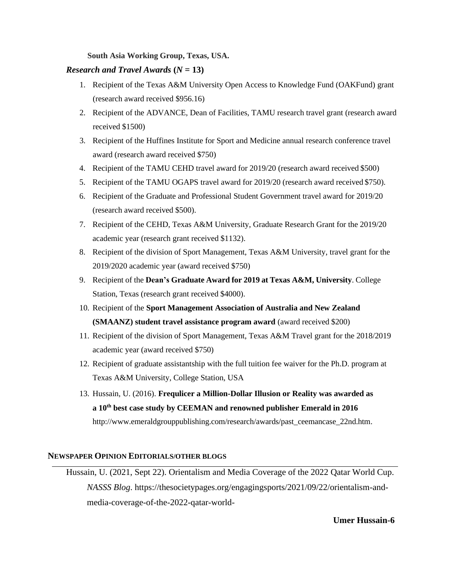### **South Asia Working Group, Texas, USA.**

### *Research and Travel Awards*  $(N = 13)$

- 1. Recipient of the Texas A&M University Open Access to Knowledge Fund (OAKFund) grant (research award received \$956.16)
- 2. Recipient of the ADVANCE, Dean of Facilities, TAMU research travel grant (research award received \$1500)
- 3. Recipient of the Huffines Institute for Sport and Medicine annual research conference travel award (research award received \$750)
- 4. Recipient of the TAMU CEHD travel award for 2019/20 (research award received \$500)
- 5. Recipient of the TAMU OGAPS travel award for 2019/20 (research award received \$750).
- 6. Recipient of the Graduate and Professional Student Government travel award for 2019/20 (research award received \$500).
- 7. Recipient of the CEHD, Texas A&M University, Graduate Research Grant for the 2019/20 academic year (research grant received \$1132).
- 8. Recipient of the division of Sport Management, Texas A&M University, travel grant for the 2019/2020 academic year (award received \$750)
- 9. Recipient of the **Dean's Graduate Award for 2019 at Texas A&M, University**. College Station, Texas (research grant received \$4000).
- 10. Recipient of the **Sport Management Association of Australia and New Zealand (SMAANZ) student travel assistance program award** (award received \$200)
- 11. Recipient of the division of Sport Management, Texas A&M Travel grant for the 2018/2019 academic year (award received \$750)
- 12. Recipient of graduate assistantship with the full tuition fee waiver for the Ph.D. program at Texas A&M University, College Station, USA
- 13. Hussain, U. (2016). **Frequlicer a Million-Dollar Illusion or Reality was awarded as a 10th best case study by CEEMAN and renowned publisher Emerald in 2016**  [http://www.emeraldgrouppublishing.com/research/awards/past\\_ceemancase\\_22nd.htm.](http://www.emeraldgrouppublishing.com/research/awards/past_ceemancase_22nd.htm)

### **NEWSPAPER OPINION EDITORIALS/OTHER BLOGS**

Hussain, U. (2021, Sept 22). Orientalism and Media Coverage of the 2022 Qatar World Cup. *NASSS Blog*. https://thesocietypages.org/engagingsports/2021/09/22/orientalism-andmedia-coverage-of-the-2022-qatar-world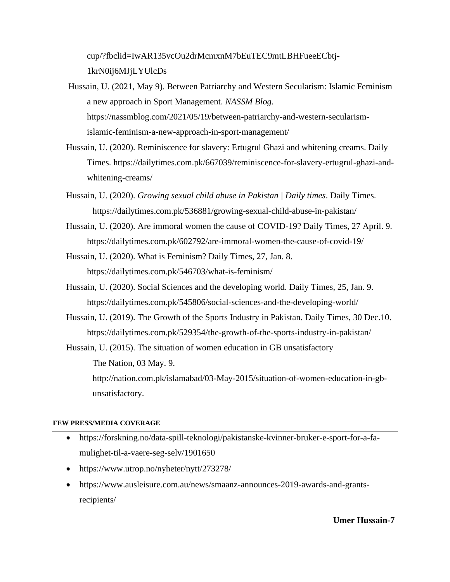cup/?fbclid=IwAR135vcOu2drMcmxnM7bEuTEC9mtLBHFueeECbtj-1krN0ij6MJjLYUlcDs

- Hussain, U. (2021, May 9). Between Patriarchy and Western Secularism: Islamic Feminism a new approach in Sport Management. *NASSM Blog.*  https://nassmblog.com/2021/05/19/between-patriarchy-and-western-secularismislamic-feminism-a-new-approach-in-sport-management/
- Hussain, U. (2020). Reminiscence for slavery: Ertugrul Ghazi and whitening creams. Daily Times. [https://dailytimes.com.pk/667039/reminiscence-for-slavery-ertugrul-ghazi-and](https://dailytimes.com.pk/667039/reminiscence-for-slavery-ertugrul-ghazi-and-whitening-creams/)[whitening-creams/](https://dailytimes.com.pk/667039/reminiscence-for-slavery-ertugrul-ghazi-and-whitening-creams/)
- Hussain, U. (2020). *Growing sexual child abuse in Pakistan | Daily times*. Daily Times. https://dailytimes.com.pk/536881/growing-sexual-child-abuse-in-pakistan/
- Hussain, U. (2020). Are immoral women the cause of COVID-19? Daily Times, 27 April. 9. https://dailytimes.com.pk/602792/are-immoral-women-the-cause-of-covid-19/
- Hussain, U. (2020). What is Feminism? Daily Times, 27, Jan. 8. https://dailytimes.com.pk/546703/what-is-feminism/
- Hussain, U. (2020). Social Sciences and the developing world. Daily Times, 25, Jan. 9. https://dailytimes.com.pk/545806/social-sciences-and-the-developing-world/
- Hussain, U. (2019). The Growth of the Sports Industry in Pakistan. Daily Times, 30 Dec.10. https://dailytimes.com.pk/529354/the-growth-of-the-sports-industry-in-pakistan/

Hussain, U. (2015). The situation of women education in GB unsatisfactory The Nation, 03 May. 9. [http://nation.com.pk/islamabad/03-May-2015/situation-of-women-education-in-gb](http://nation.com.pk/islamabad/03-May-2015/situation-of-women-education-in-gb-unsatisfactory)[unsatisfactory.](http://nation.com.pk/islamabad/03-May-2015/situation-of-women-education-in-gb-unsatisfactory)

### **FEW PRESS/MEDIA COVERAGE**

- https://forskning.no/data-spill-teknologi/pakistanske-kvinner-bruker-e-sport-for-a-famulighet-til-a-vaere-seg-selv/1901650
- https://www.utrop.no/nyheter/nytt/273278/
- https://www.ausleisure.com.au/news/smaanz-announces-2019-awards-and-grantsrecipients/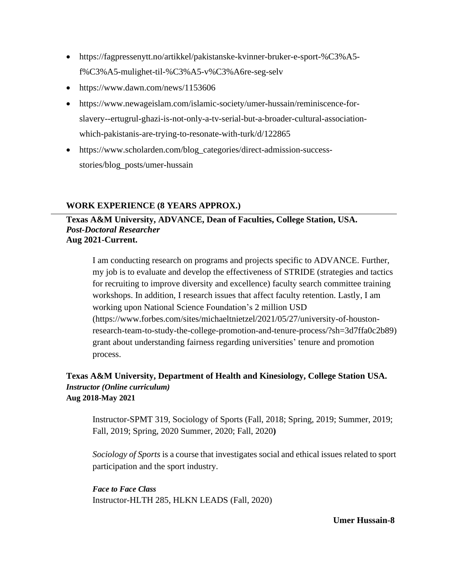- [https://fagpressenytt.no/artikkel/pakistanske-kvinner-bruker-e-sport-%C3%A5](https://fagpressenytt.no/artikkel/pakistanske-kvinner-bruker-e-sport-%C3%A5-f%C3%A5-mulighet-til-%C3%A5-v%C3%A6re-seg-selv) [f%C3%A5-mulighet-til-%C3%A5-v%C3%A6re-seg-selv](https://fagpressenytt.no/artikkel/pakistanske-kvinner-bruker-e-sport-%C3%A5-f%C3%A5-mulighet-til-%C3%A5-v%C3%A6re-seg-selv)
- https://www.dawn.com/news/1153606
- https://www.newageislam.com/islamic-society/umer-hussain/reminiscence-forslavery--ertugrul-ghazi-is-not-only-a-tv-serial-but-a-broader-cultural-associationwhich-pakistanis-are-trying-to-resonate-with-turk/d/122865
- https://www.scholarden.com/blog\_categories/direct-admission-successstories/blog\_posts/umer-hussain

## **WORK EXPERIENCE (8 YEARS APPROX.)**

## **Texas A&M University, ADVANCE, Dean of Faculties, College Station, USA.** *Post-Doctoral Researcher* **Aug 2021-Current.**

I am conducting research on programs and projects specific to ADVANCE. Further, my job is to evaluate and develop the effectiveness of STRIDE (strategies and tactics for recruiting to improve diversity and excellence) faculty search committee training workshops. In addition, I research issues that affect faculty retention. Lastly, I am working upon National Science Foundation's 2 million USD (https://www.forbes.com/sites/michaeltnietzel/2021/05/27/university-of-houstonresearch-team-to-study-the-college-promotion-and-tenure-process/?sh=3d7ffa0c2b89) grant about understanding fairness regarding universities' tenure and promotion process.

## **Texas A&M University, Department of Health and Kinesiology, College Station USA.** *Instructor (Online curriculum)* **Aug 2018-May 2021**

Instructor-SPMT 319, Sociology of Sports (Fall, 2018; Spring, 2019; Summer, 2019; Fall, 2019; Spring, 2020 Summer, 2020; Fall, 2020**)**

*Sociology of Sports* is a course that investigates social and ethical issues related to sport participation and the sport industry.

*Face to Face Class* Instructor-HLTH 285, HLKN LEADS (Fall, 2020)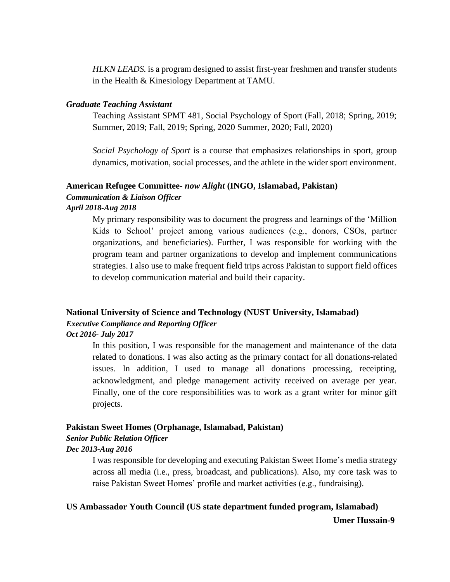*HLKN LEADS.* is a program designed to assist first-year freshmen and transfer students in the Health & Kinesiology Department at TAMU.

### *Graduate Teaching Assistant*

Teaching Assistant SPMT 481, Social Psychology of Sport (Fall, 2018; Spring, 2019; Summer, 2019; Fall, 2019; Spring, 2020 Summer, 2020; Fall, 2020)

*Social Psychology of Sport* is a course that emphasizes relationships in sport, group dynamics, motivation, social processes, and the athlete in the wider sport environment.

## **American Refugee Committee-** *now Alight* **(INGO, Islamabad, Pakistan)** *Communication & Liaison Officer*

### *April 2018-Aug 2018*

My primary responsibility was to document the progress and learnings of the 'Million Kids to School' project among various audiences (e.g., donors, CSOs, partner organizations, and beneficiaries). Further, I was responsible for working with the program team and partner organizations to develop and implement communications strategies. I also use to make frequent field trips across Pakistan to support field offices to develop communication material and build their capacity.

## **National University of Science and Technology (NUST University, Islamabad)** *Executive Compliance and Reporting Officer Oct 2016- July 2017*

In this position, I was responsible for the management and maintenance of the data related to donations. I was also acting as the primary contact for all donations-related issues. In addition, I used to manage all donations processing, receipting, acknowledgment, and pledge management activity received on average per year. Finally, one of the core responsibilities was to work as a grant writer for minor gift projects.

### **Pakistan Sweet Homes (Orphanage, Islamabad, Pakistan)**

### *Senior Public Relation Officer*

### *Dec 2013-Aug 2016*

I was responsible for developing and executing Pakistan Sweet Home's media strategy across all media (i.e., press, broadcast, and publications). Also, my core task was to raise Pakistan Sweet Homes' profile and market activities (e.g., fundraising).

## **Umer Hussain-9 US Ambassador Youth Council (US state department funded program, Islamabad)**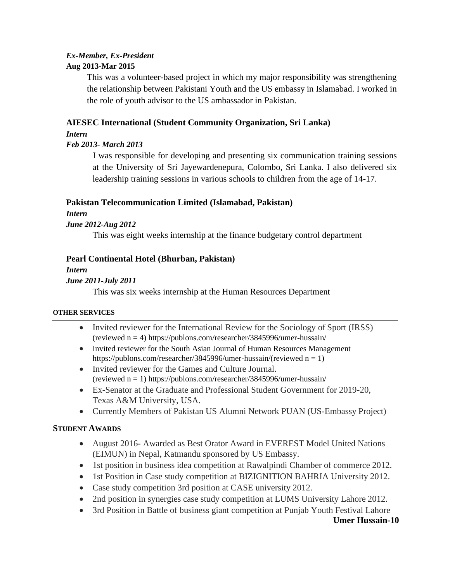## *Ex-Member, Ex-President* **Aug 2013-Mar 2015**

This was a volunteer-based project in which my major responsibility was strengthening the relationship between Pakistani Youth and the US embassy in Islamabad. I worked in the role of youth advisor to the US ambassador in Pakistan.

## **AIESEC International (Student Community Organization, Sri Lanka)**

## *Intern*

## *Feb 2013- March 2013*

I was responsible for developing and presenting six communication training sessions at the University of Sri Jayewardenepura, Colombo, Sri Lanka. I also delivered six leadership training sessions in various schools to children from the age of 14-17.

## **Pakistan Telecommunication Limited (Islamabad, Pakistan)**

*Intern*

## *June 2012-Aug 2012*

This was eight weeks internship at the finance budgetary control department

## **Pearl Continental Hotel (Bhurban, Pakistan)**

*Intern*

## *June 2011-July 2011*

This was six weeks internship at the Human Resources Department

## **OTHER SERVICES**

- Invited reviewer for the International Review for the Sociology of Sport (IRSS) (reviewed n = 4) https://publons.com/researcher/3845996/umer-hussain/
- Invited reviewer for the South Asian Journal of Human Resources Management https://publons.com/researcher/3845996/umer-hussain/(reviewed n = 1)
- Invited reviewer for the Games and Culture Journal. (reviewed n = 1) https://publons.com/researcher/3845996/umer-hussain/
- Ex-Senator at the Graduate and Professional Student Government for 2019-20, Texas A&M University, USA.
- Currently Members of Pakistan US Alumni Network PUAN (US-Embassy Project)

## **STUDENT AWARDS**

- August 2016- Awarded as Best Orator Award in EVEREST Model United Nations (EIMUN) in Nepal, Katmandu sponsored by US Embassy.
- 1st position in business idea competition at Rawalpindi Chamber of commerce 2012.
- 1st Position in Case study competition at BIZIGNITION BAHRIA University 2012.
- Case study competition 3rd position at CASE university 2012.
- 2nd position in synergies case study competition at LUMS University Lahore 2012.
- 3rd Position in Battle of business giant competition at Punjab Youth Festival Lahore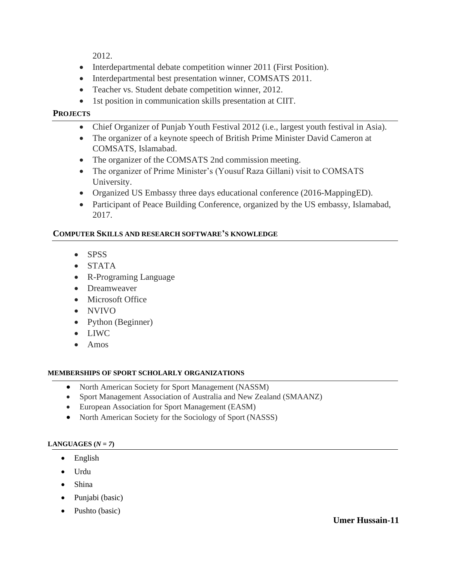2012.

- Interdepartmental debate competition winner 2011 (First Position).
- Interdepartmental best presentation winner, COMSATS 2011.
- Teacher vs. Student debate competition winner, 2012.
- 1st position in communication skills presentation at CIIT.

## **PROJECTS**

- Chief Organizer of Punjab Youth Festival 2012 (i.e., largest youth festival in Asia).
- The organizer of a keynote speech of British Prime Minister David Cameron at COMSATS, Islamabad.
- The organizer of the COMSATS 2nd commission meeting.
- The organizer of Prime Minister's (Yousuf Raza Gillani) visit to COMSATS University.
- Organized US Embassy three days educational conference (2016-Mapping ED).
- Participant of Peace Building Conference, organized by the US embassy, Islamabad, 2017.

## **COMPUTER SKILLS AND RESEARCH SOFTWARE'S KNOWLEDGE**

- SPSS
- STATA
- R-Programing Language
- Dreamweaver
- Microsoft Office
- NVIVO
- Python (Beginner)
- LIWC
- Amos

## **MEMBERSHIPS OF SPORT SCHOLARLY ORGANIZATIONS**

- North American Society for Sport Management (NASSM)
- Sport Management Association of Australia and New Zealand (SMAANZ)
- European Association for Sport Management (EASM)
- North American Society for the Sociology of Sport (NASSS)

## **LANGUAGES**  $(N = 7)$

- English
- Urdu
- Shina
- Punjabi (basic)
- Pushto (basic)